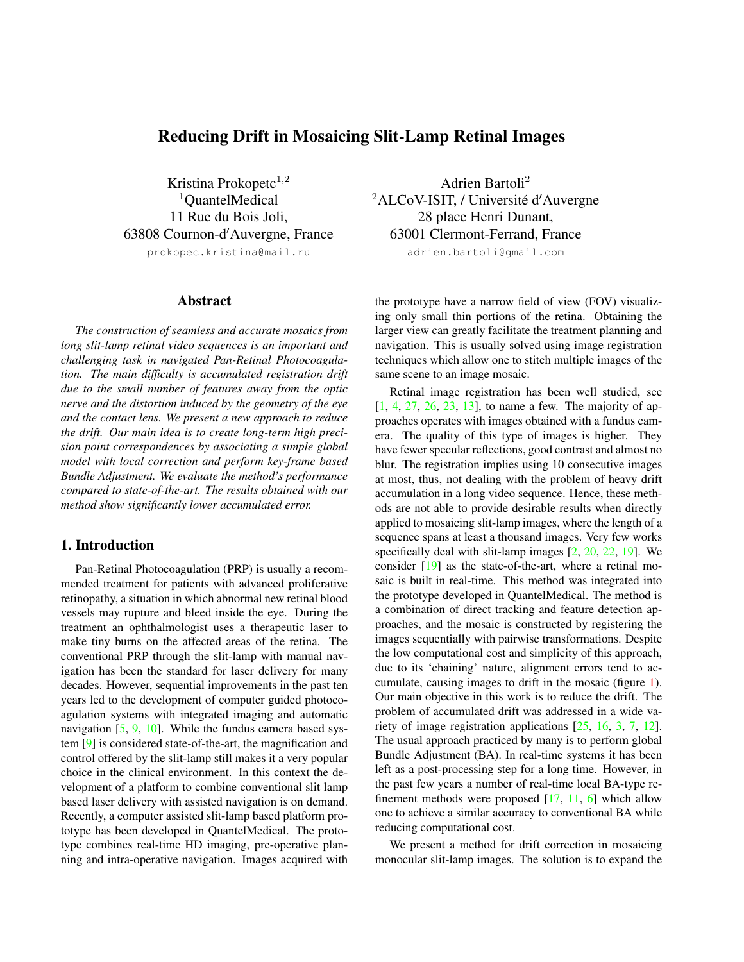# <span id="page-0-0"></span>Reducing Drift in Mosaicing Slit-Lamp Retinal Images

Kristina Prokopetc $^{1,2}$ <sup>1</sup>QuantelMedical 11 Rue du Bois Joli, 63808 Cournon-d'Auvergne, France prokopec.kristina@mail.ru

### Abstract

*The construction of seamless and accurate mosaics from long slit-lamp retinal video sequences is an important and challenging task in navigated Pan-Retinal Photocoagulation. The main difficulty is accumulated registration drift due to the small number of features away from the optic nerve and the distortion induced by the geometry of the eye and the contact lens. We present a new approach to reduce the drift. Our main idea is to create long-term high precision point correspondences by associating a simple global model with local correction and perform key-frame based Bundle Adjustment. We evaluate the method's performance compared to state-of-the-art. The results obtained with our method show significantly lower accumulated error.*

### 1. Introduction

Pan-Retinal Photocoagulation (PRP) is usually a recommended treatment for patients with advanced proliferative retinopathy, a situation in which abnormal new retinal blood vessels may rupture and bleed inside the eye. During the treatment an ophthalmologist uses a therapeutic laser to make tiny burns on the affected areas of the retina. The conventional PRP through the slit-lamp with manual navigation has been the standard for laser delivery for many decades. However, sequential improvements in the past ten years led to the development of computer guided photocoagulation systems with integrated imaging and automatic navigation  $[5, 9, 10]$  $[5, 9, 10]$  $[5, 9, 10]$  $[5, 9, 10]$  $[5, 9, 10]$ . While the fundus camera based system [\[9\]](#page-7-1) is considered state-of-the-art, the magnification and control offered by the slit-lamp still makes it a very popular choice in the clinical environment. In this context the development of a platform to combine conventional slit lamp based laser delivery with assisted navigation is on demand. Recently, a computer assisted slit-lamp based platform prototype has been developed in QuantelMedical. The prototype combines real-time HD imaging, pre-operative planning and intra-operative navigation. Images acquired with

Adrien Bartoli<sup>2</sup> <sup>2</sup>ALCoV-ISIT, / Université d'Auvergne 28 place Henri Dunant, 63001 Clermont-Ferrand, France

adrien.bartoli@gmail.com

the prototype have a narrow field of view (FOV) visualizing only small thin portions of the retina. Obtaining the larger view can greatly facilitate the treatment planning and navigation. This is usually solved using image registration techniques which allow one to stitch multiple images of the same scene to an image mosaic.

Retinal image registration has been well studied, see [\[1,](#page-7-3) [4,](#page-7-4) [27,](#page-7-5) [26,](#page-7-6) [23,](#page-7-7) [13\]](#page-7-8), to name a few. The majority of approaches operates with images obtained with a fundus camera. The quality of this type of images is higher. They have fewer specular reflections, good contrast and almost no blur. The registration implies using 10 consecutive images at most, thus, not dealing with the problem of heavy drift accumulation in a long video sequence. Hence, these methods are not able to provide desirable results when directly applied to mosaicing slit-lamp images, where the length of a sequence spans at least a thousand images. Very few works specifically deal with slit-lamp images [\[2,](#page-7-9) [20,](#page-7-10) [22,](#page-7-11) [19\]](#page-7-12). We consider [\[19\]](#page-7-12) as the state-of-the-art, where a retinal mosaic is built in real-time. This method was integrated into the prototype developed in QuantelMedical. The method is a combination of direct tracking and feature detection approaches, and the mosaic is constructed by registering the images sequentially with pairwise transformations. Despite the low computational cost and simplicity of this approach, due to its 'chaining' nature, alignment errors tend to accumulate, causing images to drift in the mosaic (figure [1\)](#page-1-0). Our main objective in this work is to reduce the drift. The problem of accumulated drift was addressed in a wide variety of image registration applications [\[25,](#page-7-13) [16,](#page-7-14) [3,](#page-7-15) [7,](#page-7-16) [12\]](#page-7-17). The usual approach practiced by many is to perform global Bundle Adjustment (BA). In real-time systems it has been left as a post-processing step for a long time. However, in the past few years a number of real-time local BA-type refinement methods were proposed [\[17,](#page-7-18) [11,](#page-7-19) [6\]](#page-7-20) which allow one to achieve a similar accuracy to conventional BA while reducing computational cost.

We present a method for drift correction in mosaicing monocular slit-lamp images. The solution is to expand the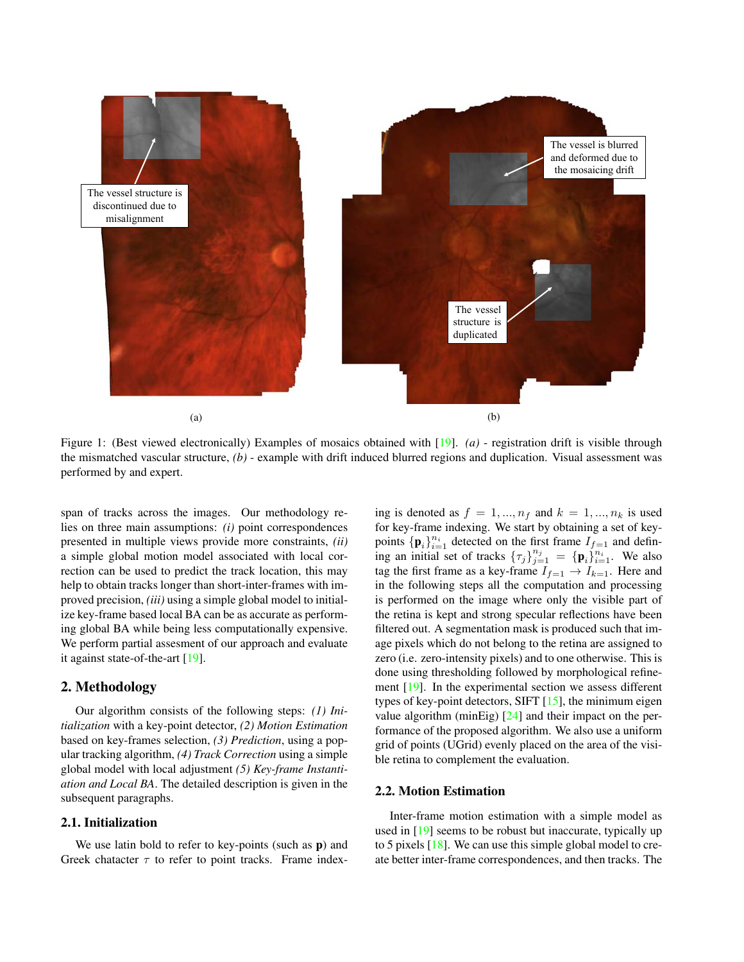<span id="page-1-1"></span><span id="page-1-0"></span>

Figure 1: (Best viewed electronically) Examples of mosaics obtained with [\[19\]](#page-7-12). *(a)* - registration drift is visible through the mismatched vascular structure, *(b)* - example with drift induced blurred regions and duplication. Visual assessment was performed by and expert.

span of tracks across the images. Our methodology relies on three main assumptions: *(i)* point correspondences presented in multiple views provide more constraints, *(ii)* a simple global motion model associated with local correction can be used to predict the track location, this may help to obtain tracks longer than short-inter-frames with improved precision, *(iii)* using a simple global model to initialize key-frame based local BA can be as accurate as performing global BA while being less computationally expensive. We perform partial assesment of our approach and evaluate it against state-of-the-art [\[19\]](#page-7-12).

### 2. Methodology

Our algorithm consists of the following steps: *(1) Initialization* with a key-point detector, *(2) Motion Estimation* based on key-frames selection, *(3) Prediction*, using a popular tracking algorithm, *(4) Track Correction* using a simple global model with local adjustment *(5) Key-frame Instantiation and Local BA*. The detailed description is given in the subsequent paragraphs.

### 2.1. Initialization

We use latin bold to refer to key-points (such as **p**) and Greek chatacter  $\tau$  to refer to point tracks. Frame indexing is denoted as  $f = 1, ..., n_f$  and  $k = 1, ..., n_k$  is used for key-frame indexing. We start by obtaining a set of keypoints  $\{p_i\}_{i=1}^{n_i}$  detected on the first frame  $I_{f=1}$  and defining an initial set of tracks  $\{\tau_j\}_{j=1}^{n_j} = {\{\mathbf{p}_i\}}_{i=1}^{n_i}$ . We also tag the first frame as a key-frame  $I_{f=1} \rightarrow I_{k=1}$ . Here and in the following steps all the computation and processing is performed on the image where only the visible part of the retina is kept and strong specular reflections have been filtered out. A segmentation mask is produced such that image pixels which do not belong to the retina are assigned to zero (i.e. zero-intensity pixels) and to one otherwise. This is done using thresholding followed by morphological refinement [\[19\]](#page-7-12). In the experimental section we assess different types of key-point detectors, SIFT [\[15\]](#page-7-21), the minimum eigen value algorithm (minEig)  $[24]$  and their impact on the performance of the proposed algorithm. We also use a uniform grid of points (UGrid) evenly placed on the area of the visible retina to complement the evaluation.

#### 2.2. Motion Estimation

Inter-frame motion estimation with a simple model as used in [\[19\]](#page-7-12) seems to be robust but inaccurate, typically up to 5 pixels [\[18\]](#page-7-23). We can use this simple global model to create better inter-frame correspondences, and then tracks. The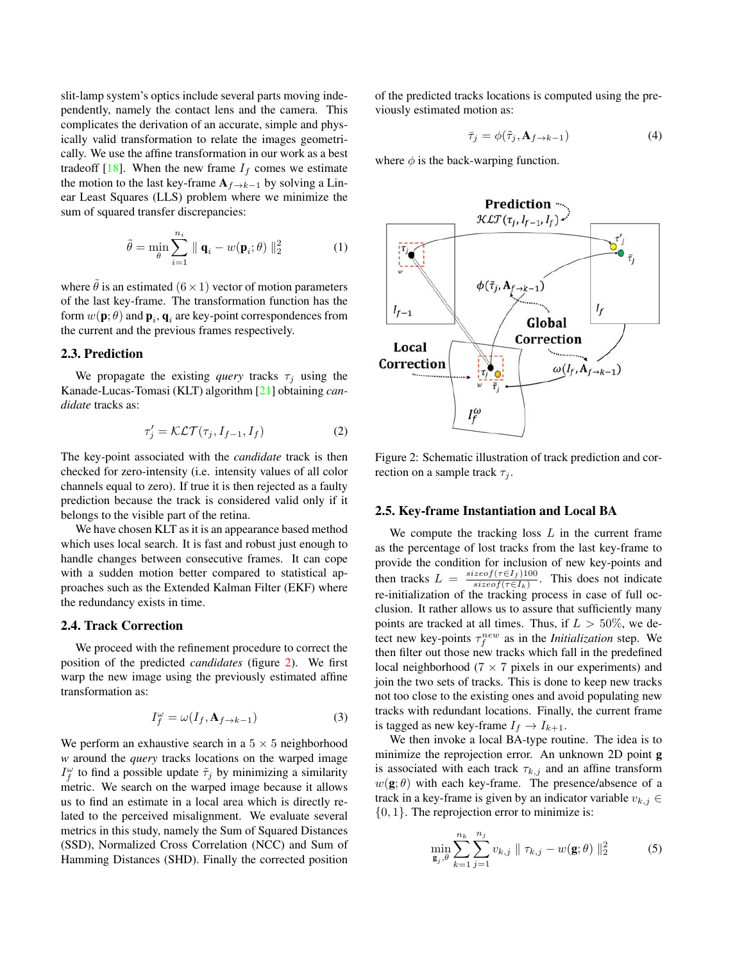<span id="page-2-1"></span>slit-lamp system's optics include several parts moving independently, namely the contact lens and the camera. This complicates the derivation of an accurate, simple and physically valid transformation to relate the images geometrically. We use the affine transformation in our work as a best tradeoff [\[18\]](#page-7-23). When the new frame  $I_f$  comes we estimate the motion to the last key-frame  $A_{f\rightarrow k-1}$  by solving a Linear Least Squares (LLS) problem where we minimize the sum of squared transfer discrepancies:

$$
\tilde{\theta} = \min_{\theta} \sum_{i=1}^{n_i} \| \mathbf{q}_i - w(\mathbf{p}_i; \theta) \|_2^2 \tag{1}
$$

where  $\tilde{\theta}$  is an estimated  $(6 \times 1)$  vector of motion parameters of the last key-frame. The transformation function has the form  $w(\textbf{p};\theta)$  and  $\textbf{p}_i$ ,  $\textbf{q}_i$  are key-point correspondences from the current and the previous frames respectively.

### 2.3. Prediction

We propagate the existing *query* tracks  $\tau_j$  using the Kanade-Lucas-Tomasi (KLT) algorithm [\[21\]](#page-7-24) obtaining *candidate* tracks as:

$$
\tau_j' = \mathcal{KLT}(\tau_j, I_{f-1}, I_f)
$$
 (2)

The key-point associated with the *candidate* track is then checked for zero-intensity (i.e. intensity values of all color channels equal to zero). If true it is then rejected as a faulty prediction because the track is considered valid only if it belongs to the visible part of the retina.

We have chosen KLT as it is an appearance based method which uses local search. It is fast and robust just enough to handle changes between consecutive frames. It can cope with a sudden motion better compared to statistical approaches such as the Extended Kalman Filter (EKF) where the redundancy exists in time.

#### 2.4. Track Correction

We proceed with the refinement procedure to correct the position of the predicted *candidates* (figure [2\)](#page-2-0). We first warp the new image using the previously estimated affine transformation as:

$$
I_f^{\omega} = \omega(I_f, \mathbf{A}_{f \to k-1})
$$
\n(3)

We perform an exhaustive search in a  $5 \times 5$  neighborhood *w* around the *query* tracks locations on the warped image  $I_f^{\omega}$  to find a possible update  $\tilde{\tau}_j$  by minimizing a similarity metric. We search on the warped image because it allows us to find an estimate in a local area which is directly related to the perceived misalignment. We evaluate several metrics in this study, namely the Sum of Squared Distances (SSD), Normalized Cross Correlation (NCC) and Sum of Hamming Distances (SHD). Finally the corrected position

of the predicted tracks locations is computed using the previously estimated motion as:

$$
\bar{\tau}_j = \phi(\tilde{\tau}_j, \mathbf{A}_{f \to k-1}) \tag{4}
$$

where  $\phi$  is the back-warping function.

<span id="page-2-0"></span>

Figure 2: Schematic illustration of track prediction and correction on a sample track  $\tau_i$ .

#### 2.5. Key-frame Instantiation and Local BA

We compute the tracking loss  $L$  in the current frame as the percentage of lost tracks from the last key-frame to provide the condition for inclusion of new key-points and then tracks  $L = \frac{sizeof(\tau \in I_f)100}{sizeof(\tau \in I_f)}$  $\frac{ze_{\theta f}(\tau \in I_f)100}{size_{\theta f}(\tau \in I_k)}$ . This does not indicate re-initialization of the tracking process in case of full occlusion. It rather allows us to assure that sufficiently many points are tracked at all times. Thus, if  $L > 50\%$ , we detect new key-points  $\tau_f^{new}$  as in the *Initialization* step. We then filter out those new tracks which fall in the predefined local neighborhood ( $7 \times 7$  pixels in our experiments) and join the two sets of tracks. This is done to keep new tracks not too close to the existing ones and avoid populating new tracks with redundant locations. Finally, the current frame is tagged as new key-frame  $I_f \rightarrow I_{k+1}$ .

We then invoke a local BA-type routine. The idea is to minimize the reprojection error. An unknown 2D point g is associated with each track  $\tau_{k,j}$  and an affine transform  $w(\mathbf{g}; \theta)$  with each key-frame. The presence/absence of a track in a key-frame is given by an indicator variable  $v_{k,j} \in$  $\{0, 1\}$ . The reprojection error to minimize is:

$$
\min_{\mathbf{g}_j,\theta} \sum_{k=1}^{n_k} \sum_{j=1}^{n_j} v_{k,j} \parallel \tau_{k,j} - w(\mathbf{g};\theta) \parallel_2^2
$$
 (5)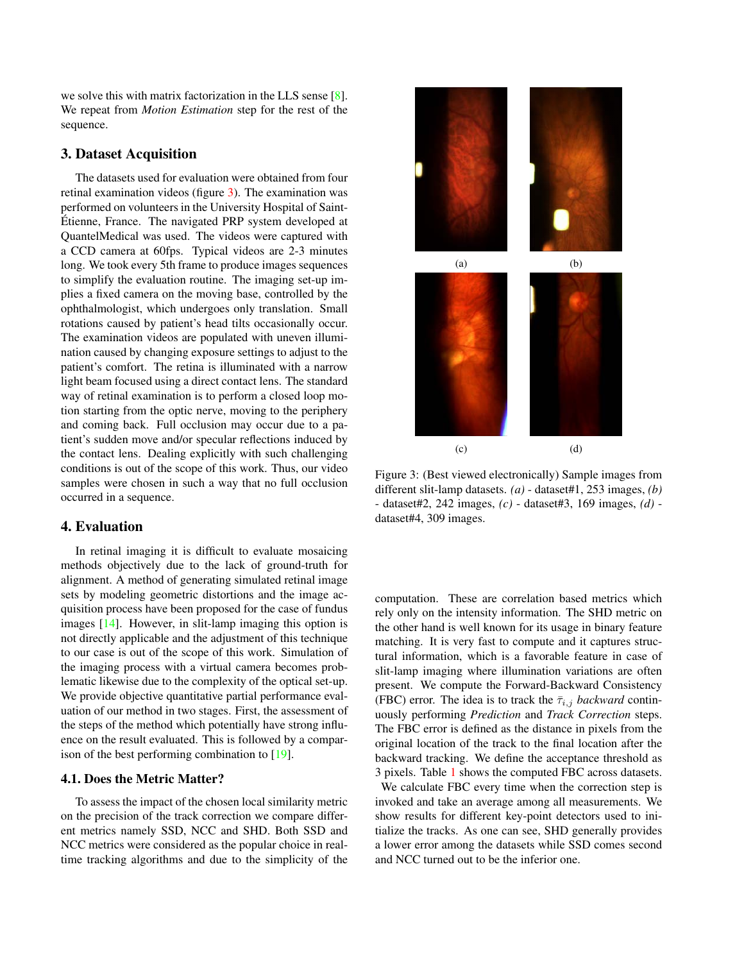<span id="page-3-1"></span>we solve this with matrix factorization in the LLS sense [\[8\]](#page-7-25). We repeat from *Motion Estimation* step for the rest of the sequence.

### 3. Dataset Acquisition

The datasets used for evaluation were obtained from four retinal examination videos (figure [3\)](#page-3-0). The examination was performed on volunteers in the University Hospital of Saint-Etienne, France. The navigated PRP system developed at ´ QuantelMedical was used. The videos were captured with a CCD camera at 60fps. Typical videos are 2-3 minutes long. We took every 5th frame to produce images sequences to simplify the evaluation routine. The imaging set-up implies a fixed camera on the moving base, controlled by the ophthalmologist, which undergoes only translation. Small rotations caused by patient's head tilts occasionally occur. The examination videos are populated with uneven illumination caused by changing exposure settings to adjust to the patient's comfort. The retina is illuminated with a narrow light beam focused using a direct contact lens. The standard way of retinal examination is to perform a closed loop motion starting from the optic nerve, moving to the periphery and coming back. Full occlusion may occur due to a patient's sudden move and/or specular reflections induced by the contact lens. Dealing explicitly with such challenging conditions is out of the scope of this work. Thus, our video samples were chosen in such a way that no full occlusion occurred in a sequence.

### 4. Evaluation

In retinal imaging it is difficult to evaluate mosaicing methods objectively due to the lack of ground-truth for alignment. A method of generating simulated retinal image sets by modeling geometric distortions and the image acquisition process have been proposed for the case of fundus images [\[14\]](#page-7-26). However, in slit-lamp imaging this option is not directly applicable and the adjustment of this technique to our case is out of the scope of this work. Simulation of the imaging process with a virtual camera becomes problematic likewise due to the complexity of the optical set-up. We provide objective quantitative partial performance evaluation of our method in two stages. First, the assessment of the steps of the method which potentially have strong influence on the result evaluated. This is followed by a comparison of the best performing combination to [\[19\]](#page-7-12).

#### 4.1. Does the Metric Matter?

To assess the impact of the chosen local similarity metric on the precision of the track correction we compare different metrics namely SSD, NCC and SHD. Both SSD and NCC metrics were considered as the popular choice in realtime tracking algorithms and due to the simplicity of the

<span id="page-3-0"></span>

Figure 3: (Best viewed electronically) Sample images from different slit-lamp datasets. *(a)* - dataset#1, 253 images, *(b)* - dataset#2, 242 images, *(c)* - dataset#3, 169 images, *(d)* dataset#4, 309 images.

computation. These are correlation based metrics which rely only on the intensity information. The SHD metric on the other hand is well known for its usage in binary feature matching. It is very fast to compute and it captures structural information, which is a favorable feature in case of slit-lamp imaging where illumination variations are often present. We compute the Forward-Backward Consistency (FBC) error. The idea is to track the  $\bar{\tau}_{i,j}$  *backward* continuously performing *Prediction* and *Track Correction* steps. The FBC error is defined as the distance in pixels from the original location of the track to the final location after the backward tracking. We define the acceptance threshold as 3 pixels. Table [1](#page-4-0) shows the computed FBC across datasets.

We calculate FBC every time when the correction step is invoked and take an average among all measurements. We show results for different key-point detectors used to initialize the tracks. As one can see, SHD generally provides a lower error among the datasets while SSD comes second and NCC turned out to be the inferior one.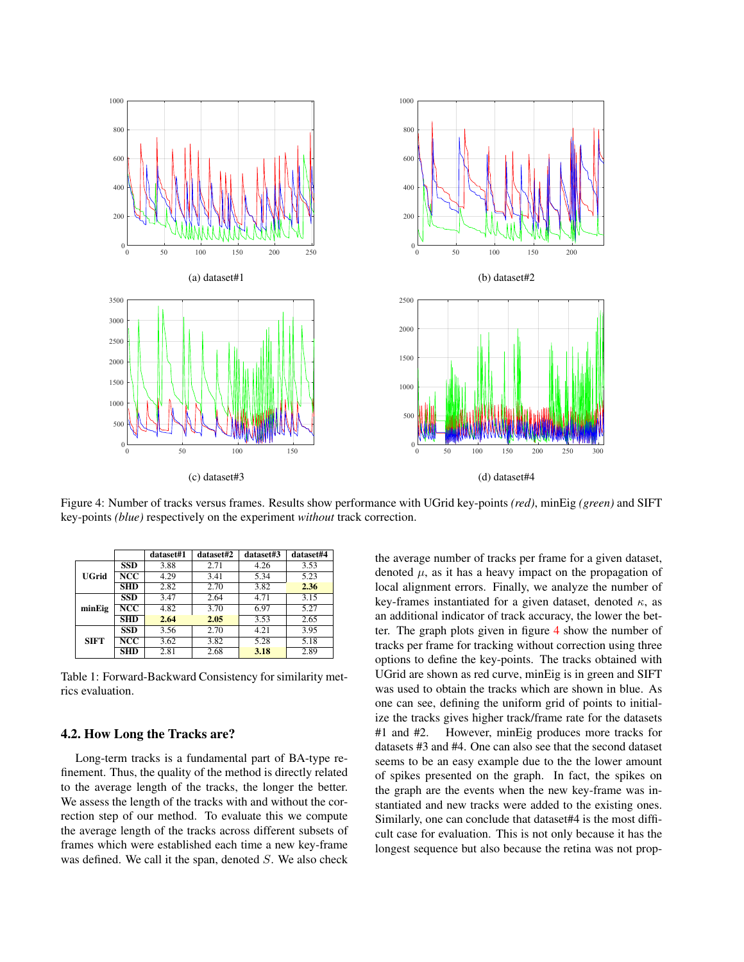<span id="page-4-1"></span>

Figure 4: Number of tracks versus frames. Results show performance with UGrid key-points *(red)*, minEig *(green)* and SIFT key-points *(blue)* respectively on the experiment *without* track correction.

<span id="page-4-0"></span>

|              |                         | dataset#1 | dataset#2 | dataset#3 | dataset#4 |
|--------------|-------------------------|-----------|-----------|-----------|-----------|
|              | <b>SSD</b>              | 3.88      | 2.71      | 4.26      | 3.53      |
| <b>UGrid</b> | NCC                     | 4.29      | 3.41      | 5.34      | 5.23      |
|              | <b>SHD</b>              | 2.82      | 2.70      | 3.82      | 2.36      |
|              | <b>SSD</b>              | 3.47      | 2.64      | 4.71      | 3.15      |
| minEig       | NCC                     | 4.82      | 3.70      | 6.97      | 5.27      |
|              | $SHD$                   | 2.64      | 2.05      | 3.53      | 2.65      |
| <b>SIFT</b>  | SSD                     | 3.56      | 2.70      | 4.21      | 3.95      |
|              | $\overline{\text{NCC}}$ | 3.62      | 3.82      | 5.28      | 5.18      |
|              | <b>SHD</b>              | 2.81      | 2.68      | 3.18      | 2.89      |

Table 1: Forward-Backward Consistency for similarity metrics evaluation.

### 4.2. How Long the Tracks are?

Long-term tracks is a fundamental part of BA-type refinement. Thus, the quality of the method is directly related to the average length of the tracks, the longer the better. We assess the length of the tracks with and without the correction step of our method. To evaluate this we compute the average length of the tracks across different subsets of frames which were established each time a new key-frame was defined. We call it the span, denoted S. We also check the average number of tracks per frame for a given dataset, denoted  $\mu$ , as it has a heavy impact on the propagation of local alignment errors. Finally, we analyze the number of key-frames instantiated for a given dataset, denoted  $\kappa$ , as an additional indicator of track accuracy, the lower the better. The graph plots given in figure [4](#page-4-1) show the number of tracks per frame for tracking without correction using three options to define the key-points. The tracks obtained with UGrid are shown as red curve, minEig is in green and SIFT was used to obtain the tracks which are shown in blue. As one can see, defining the uniform grid of points to initialize the tracks gives higher track/frame rate for the datasets #1 and #2. However, minEig produces more tracks for datasets #3 and #4. One can also see that the second dataset seems to be an easy example due to the the lower amount of spikes presented on the graph. In fact, the spikes on the graph are the events when the new key-frame was instantiated and new tracks were added to the existing ones. Similarly, one can conclude that dataset#4 is the most difficult case for evaluation. This is not only because it has the longest sequence but also because the retina was not prop-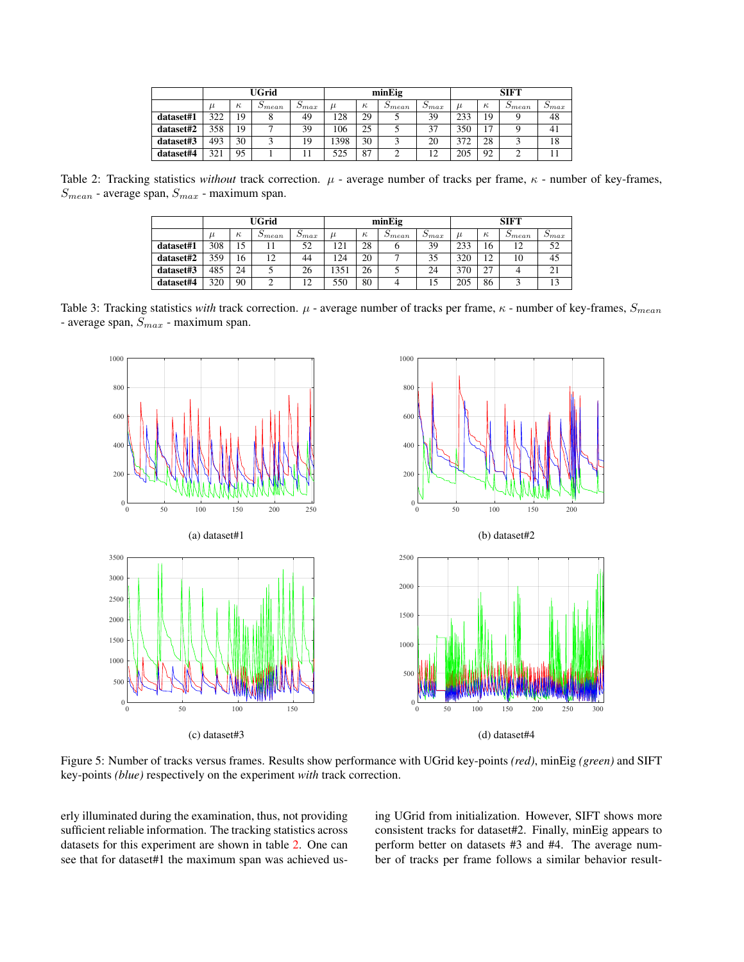<span id="page-5-0"></span>

|           | UGrid |          |                           | minEig         |       |          |                           | <b>SIFT</b>    |       |          |                      |                |
|-----------|-------|----------|---------------------------|----------------|-------|----------|---------------------------|----------------|-------|----------|----------------------|----------------|
|           | $\mu$ | $\kappa$ | $\mathcal{D}$ <i>mean</i> | $\omega_{max}$ | $\mu$ | $\kappa$ | $\mathcal{D}$ <i>mean</i> | $\omega_{max}$ | $\mu$ | $\kappa$ | $\mathcal{Q}_{mean}$ | $\omega_{max}$ |
| dataset#1 | 322   | 19       |                           | 49             | 128   | 29       |                           | 39             | 233   | 19       |                      | 48             |
| dataset#2 | 358   | 19       |                           | 39             | 106   | 25       |                           | 37             | 350   | 17       |                      | 41             |
| dataset#3 | 493   | 30       |                           | 19             | 1398  | 30       |                           | 20             | 372   | 28       |                      | 18             |
| dataset#4 | 321   | 95       |                           |                | 525   | 87       |                           | 12             | 205   | 92       |                      |                |

<span id="page-5-2"></span>Table 2: Tracking statistics *without* track correction.  $\mu$  - average number of tracks per frame,  $\kappa$  - number of key-frames,  $S_{mean}$  - average span,  $S_{max}$  - maximum span.

|           | UGrid |          |                 | minEig         |       |          |                 | <b>SIFT</b>    |       |          |                 |                |
|-----------|-------|----------|-----------------|----------------|-------|----------|-----------------|----------------|-------|----------|-----------------|----------------|
|           | $\mu$ | $\kappa$ | $\omega_{mean}$ | $\omega_{max}$ | $\mu$ | $\kappa$ | $\omega_{mean}$ | $\omega_{max}$ | $\mu$ | $\kappa$ | $\omega_{mean}$ | $\omega_{max}$ |
| dataset#1 | 308   | 15       |                 | 52             | 121   | 28       |                 | 39             | 233   | 16       | 12              | 52             |
| dataset#2 | 359   | 16       | 12              | 44             | 124   | 20       |                 | 35             | 320   | 12       | 10              | 45             |
| dataset#3 | 485   | 24       |                 | 26             | 351   | 26       |                 | 24             | 370   | 27       |                 | 21             |
| dataset#4 | 320   | 90       | ◠               | 12             | 550   | 80       | 4               | 15             | 205   | 86       |                 | 13             |

<span id="page-5-1"></span>Table 3: Tracking statistics *with* track correction.  $\mu$  - average number of tracks per frame,  $\kappa$  - number of key-frames,  $S_{mean}$ - average span,  $S_{\max}$  - maximum span.



Figure 5: Number of tracks versus frames. Results show performance with UGrid key-points *(red)*, minEig *(green)* and SIFT key-points *(blue)* respectively on the experiment *with* track correction.

erly illuminated during the examination, thus, not providing sufficient reliable information. The tracking statistics across datasets for this experiment are shown in table [2.](#page-5-0) One can see that for dataset#1 the maximum span was achieved using UGrid from initialization. However, SIFT shows more consistent tracks for dataset#2. Finally, minEig appears to perform better on datasets #3 and #4. The average number of tracks per frame follows a similar behavior result-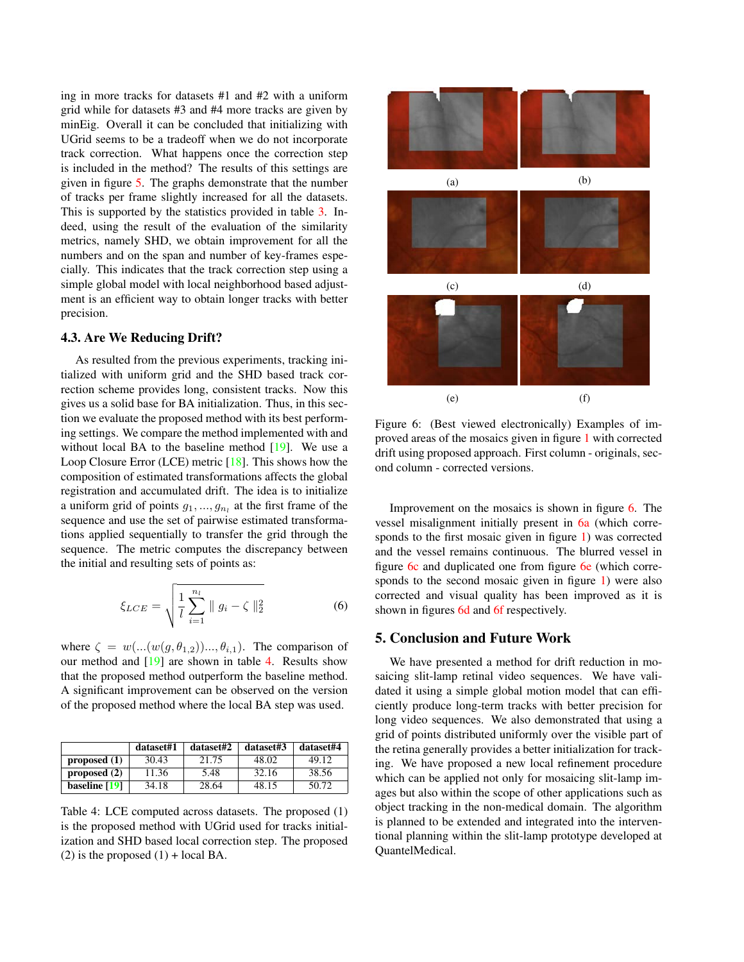<span id="page-6-2"></span>ing in more tracks for datasets #1 and #2 with a uniform grid while for datasets #3 and #4 more tracks are given by minEig. Overall it can be concluded that initializing with UGrid seems to be a tradeoff when we do not incorporate track correction. What happens once the correction step is included in the method? The results of this settings are given in figure [5.](#page-5-1) The graphs demonstrate that the number of tracks per frame slightly increased for all the datasets. This is supported by the statistics provided in table [3.](#page-5-2) Indeed, using the result of the evaluation of the similarity metrics, namely SHD, we obtain improvement for all the numbers and on the span and number of key-frames especially. This indicates that the track correction step using a simple global model with local neighborhood based adjustment is an efficient way to obtain longer tracks with better precision.

#### 4.3. Are We Reducing Drift?

As resulted from the previous experiments, tracking initialized with uniform grid and the SHD based track correction scheme provides long, consistent tracks. Now this gives us a solid base for BA initialization. Thus, in this section we evaluate the proposed method with its best performing settings. We compare the method implemented with and without local BA to the baseline method  $[19]$ . We use a Loop Closure Error (LCE) metric [\[18\]](#page-7-23). This shows how the composition of estimated transformations affects the global registration and accumulated drift. The idea is to initialize a uniform grid of points  $g_1, ..., g_{n_l}$  at the first frame of the sequence and use the set of pairwise estimated transformations applied sequentially to transfer the grid through the sequence. The metric computes the discrepancy between the initial and resulting sets of points as:

$$
\xi_{LCE} = \sqrt{\frac{1}{l} \sum_{i=1}^{n_l} ||g_i - \zeta||_2^2}
$$
 (6)

where  $\zeta = w(...(w(g, \theta_{1,2}))..., \theta_{i,1})$ . The comparison of our method and  $[19]$  are shown in table [4.](#page-6-0) Results show that the proposed method outperform the baseline method. A significant improvement can be observed on the version of the proposed method where the local BA step was used.

<span id="page-6-0"></span>

|                | dataset#1 | dataset#2 | dataset#3 | dataset#4 |
|----------------|-----------|-----------|-----------|-----------|
| proposed $(1)$ | 30.43     | 21.75     | 48.02     | 49.12     |
| proposed $(2)$ | 11.36     | 5.48      | 32.16     | 38.56     |
| baseline [19]  | 34.18     | 28.64     | 48.15     | 50.72     |

Table 4: LCE computed across datasets. The proposed (1) is the proposed method with UGrid used for tracks initialization and SHD based local correction step. The proposed (2) is the proposed  $(1)$  + local BA.

<span id="page-6-1"></span>

Figure 6: (Best viewed electronically) Examples of improved areas of the mosaics given in figure [1](#page-1-0) with corrected drift using proposed approach. First column - originals, second column - corrected versions.

Improvement on the mosaics is shown in figure [6.](#page-6-1) The vessel misalignment initially present in [6a](#page-6-1) (which corresponds to the first mosaic given in figure [1\)](#page-1-0) was corrected and the vessel remains continuous. The blurred vessel in figure [6c](#page-6-1) and duplicated one from figure [6e](#page-6-1) (which corresponds to the second mosaic given in figure [1\)](#page-1-0) were also corrected and visual quality has been improved as it is shown in figures [6d](#page-6-1) and [6f](#page-6-1) respectively.

### 5. Conclusion and Future Work

We have presented a method for drift reduction in mosaicing slit-lamp retinal video sequences. We have validated it using a simple global motion model that can efficiently produce long-term tracks with better precision for long video sequences. We also demonstrated that using a grid of points distributed uniformly over the visible part of the retina generally provides a better initialization for tracking. We have proposed a new local refinement procedure which can be applied not only for mosaicing slit-lamp images but also within the scope of other applications such as object tracking in the non-medical domain. The algorithm is planned to be extended and integrated into the interventional planning within the slit-lamp prototype developed at QuantelMedical.